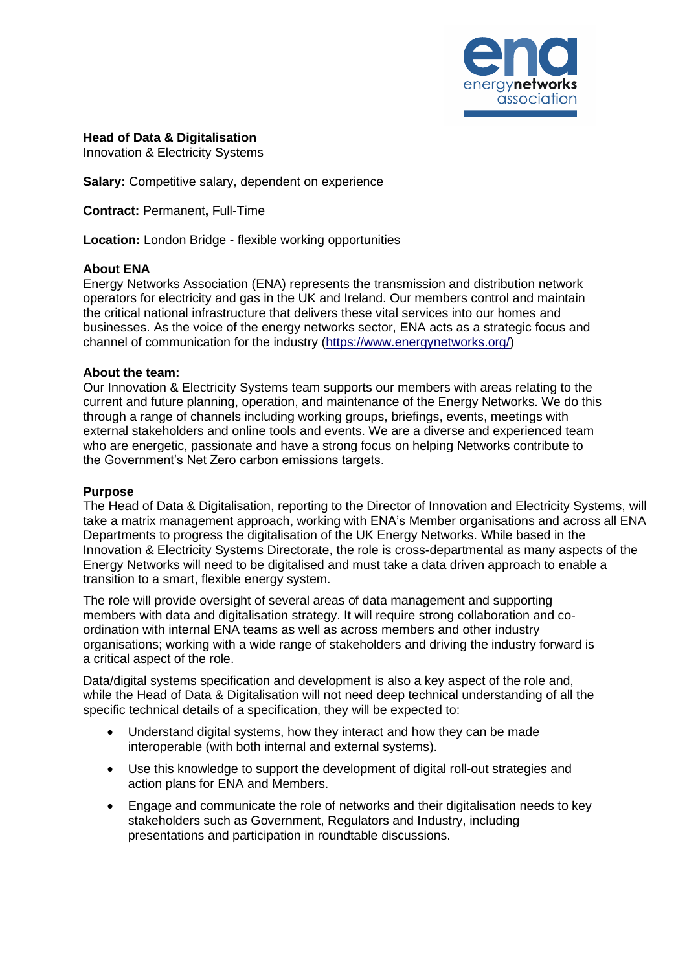

## **Head of Data & Digitalisation**

Innovation & Electricity Systems

**Salary:** Competitive salary, dependent on experience

**Contract:** Permanent**,** Full-Time

**Location:** London Bridge - flexible working opportunities

### **About ENA**

Energy Networks Association (ENA) represents the transmission and distribution network operators for electricity and gas in the UK and Ireland. Our members control and maintain the critical national infrastructure that delivers these vital services into our homes and businesses. As the voice of the energy networks sector, ENA acts as a strategic focus and channel of communication for the industry [\(https://www.energynetworks.org/\)](https://www.energynetworks.org/)

### **About the team:**

Our Innovation & Electricity Systems team supports our members with areas relating to the current and future planning, operation, and maintenance of the Energy Networks. We do this through a range of channels including working groups, briefings, events, meetings with external stakeholders and online tools and events. We are a diverse and experienced team who are energetic, passionate and have a strong focus on helping Networks contribute to the Government's Net Zero carbon emissions targets.

#### **Purpose**

The Head of Data & Digitalisation, reporting to the Director of Innovation and Electricity Systems, will take a matrix management approach, working with ENA's Member organisations and across all ENA Departments to progress the digitalisation of the UK Energy Networks. While based in the Innovation & Electricity Systems Directorate, the role is cross-departmental as many aspects of the Energy Networks will need to be digitalised and must take a data driven approach to enable a transition to a smart, flexible energy system.

The role will provide oversight of several areas of data management and supporting members with data and digitalisation strategy. It will require strong collaboration and coordination with internal ENA teams as well as across members and other industry organisations; working with a wide range of stakeholders and driving the industry forward is a critical aspect of the role.

Data/digital systems specification and development is also a key aspect of the role and. while the Head of Data & Digitalisation will not need deep technical understanding of all the specific technical details of a specification, they will be expected to:

- Understand digital systems, how they interact and how they can be made interoperable (with both internal and external systems).
- Use this knowledge to support the development of digital roll-out strategies and action plans for ENA and Members.
- Engage and communicate the role of networks and their digitalisation needs to key stakeholders such as Government, Regulators and Industry, including presentations and participation in roundtable discussions.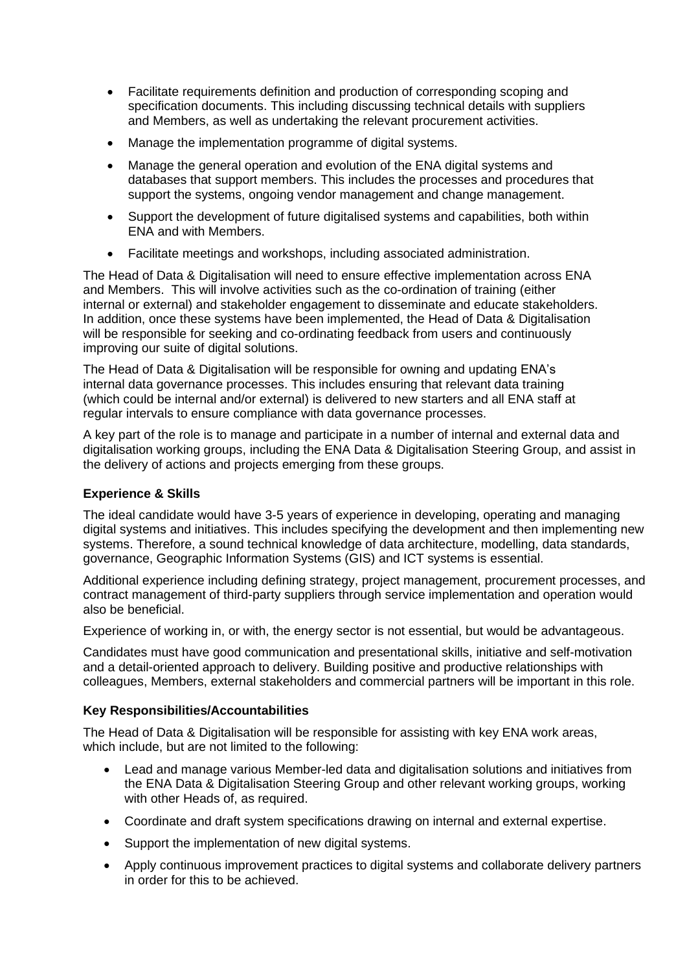- Facilitate requirements definition and production of corresponding scoping and specification documents. This including discussing technical details with suppliers and Members, as well as undertaking the relevant procurement activities.
- Manage the implementation programme of digital systems.
- Manage the general operation and evolution of the ENA digital systems and databases that support members. This includes the processes and procedures that support the systems, ongoing vendor management and change management.
- Support the development of future digitalised systems and capabilities, both within ENA and with Members.
- Facilitate meetings and workshops, including associated administration.

The Head of Data & Digitalisation will need to ensure effective implementation across ENA and Members. This will involve activities such as the co-ordination of training (either internal or external) and stakeholder engagement to disseminate and educate stakeholders. In addition, once these systems have been implemented, the Head of Data & Digitalisation will be responsible for seeking and co-ordinating feedback from users and continuously improving our suite of digital solutions.

The Head of Data & Digitalisation will be responsible for owning and updating ENA's internal data governance processes. This includes ensuring that relevant data training (which could be internal and/or external) is delivered to new starters and all ENA staff at regular intervals to ensure compliance with data governance processes.

A key part of the role is to manage and participate in a number of internal and external data and digitalisation working groups, including the ENA Data & Digitalisation Steering Group, and assist in the delivery of actions and projects emerging from these groups.

# **Experience & Skills**

The ideal candidate would have 3-5 years of experience in developing, operating and managing digital systems and initiatives. This includes specifying the development and then implementing new systems. Therefore, a sound technical knowledge of data architecture, modelling, data standards, governance, Geographic Information Systems (GIS) and ICT systems is essential.

Additional experience including defining strategy, project management, procurement processes, and contract management of third-party suppliers through service implementation and operation would also be beneficial.

Experience of working in, or with, the energy sector is not essential, but would be advantageous.

Candidates must have good communication and presentational skills, initiative and self-motivation and a detail-oriented approach to delivery. Building positive and productive relationships with colleagues, Members, external stakeholders and commercial partners will be important in this role.

### **Key Responsibilities/Accountabilities**

The Head of Data & Digitalisation will be responsible for assisting with key ENA work areas, which include, but are not limited to the following:

- Lead and manage various Member-led data and digitalisation solutions and initiatives from the ENA Data & Digitalisation Steering Group and other relevant working groups, working with other Heads of, as required.
- Coordinate and draft system specifications drawing on internal and external expertise.
- Support the implementation of new digital systems.
- Apply continuous improvement practices to digital systems and collaborate delivery partners in order for this to be achieved.